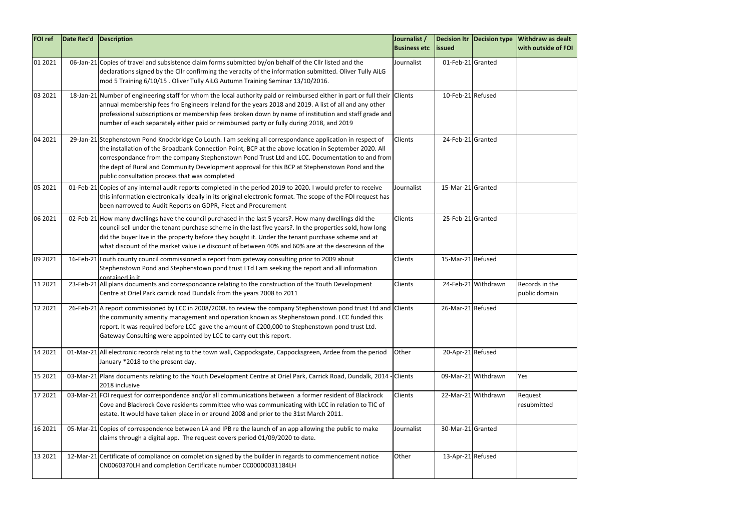

| <b>FOI</b> ref | Date Rec'd | Description                                                                                                                                                                                                                                                                                                                                                                                                                                                               | Journalist /<br><b>Business etc</b> | <b>lissued</b>    | <b>Decision Itr Decision type</b> | <b>Withdraw as dealt</b><br><b>with outside of FO</b> |
|----------------|------------|---------------------------------------------------------------------------------------------------------------------------------------------------------------------------------------------------------------------------------------------------------------------------------------------------------------------------------------------------------------------------------------------------------------------------------------------------------------------------|-------------------------------------|-------------------|-----------------------------------|-------------------------------------------------------|
| 01 2021        |            | 06-Jan-21 Copies of travel and subsistence claim forms submitted by/on behalf of the Cllr listed and the<br>declarations signed by the Cllr confirming the veracity of the information submitted. Oliver Tully AiLG<br>mod 5 Training 6/10/15. Oliver Tully AiLG Autumn Training Seminar 13/10/2016.                                                                                                                                                                      | Journalist                          | 01-Feb-21 Granted |                                   |                                                       |
| 03 2021        |            | 18-Jan-21 Number of engineering staff for whom the local authority paid or reimbursed either in part or full their Clients<br>annual membership fees fro Engineers Ireland for the years 2018 and 2019. A list of all and any other<br>professional subscriptions or membership fees broken down by name of institution and staff grade and<br>number of each separately either paid or reimbursed party or fully during 2018, and 2019                                   |                                     | 10-Feb-21 Refused |                                   |                                                       |
| 04 2021        |            | 29-Jan-21 Stephenstown Pond Knockbridge Co Louth. I am seeking all correspondance application in respect of<br>the installation of the Broadbank Connection Point, BCP at the above location in September 2020. All<br>correspondance from the company Stephenstown Pond Trust Ltd and LCC. Documentation to and from<br>the dept of Rural and Community Development approval for this BCP at Stephenstown Pond and the<br>public consultation process that was completed | Clients                             | 24-Feb-21 Granted |                                   |                                                       |
| 05 2021        |            | 01-Feb-21 Copies of any internal audit reports completed in the period 2019 to 2020. I would prefer to receive<br>this information electronically ideally in its original electronic format. The scope of the FOI request has<br>been narrowed to Audit Reports on GDPR, Fleet and Procurement                                                                                                                                                                            | Journalist                          | 15-Mar-21 Granted |                                   |                                                       |
| 06 2021        |            | 02-Feb-21 How many dwellings have the council purchased in the last 5 years?. How many dwellings did the<br>council sell under the tenant purchase scheme in the last five years?. In the properties sold, how long<br>did the buyer live in the property before they bought it. Under the tenant purchase scheme and at<br>what discount of the market value i.e discount of between 40% and 60% are at the descresion of the                                            | Clients                             | 25-Feb-21 Granted |                                   |                                                       |
| 09 2021        |            | 16-Feb-21 Louth county council commissioned a report from gateway consulting prior to 2009 about<br>Stephenstown Pond and Stephenstown pond trust LTd I am seeking the report and all information<br>contained in it                                                                                                                                                                                                                                                      | Clients                             | 15-Mar-21 Refused |                                   |                                                       |
| 11 2021        |            | 23-Feb-21 All plans documents and correspondance relating to the construction of the Youth Development<br>Centre at Oriel Park carrick road Dundalk from the years 2008 to 2011                                                                                                                                                                                                                                                                                           | Clients                             |                   | 24-Feb-21 Withdrawn               | Records in the<br>public domain                       |
| 12 2021        |            | 26-Feb-21 A report commissioned by LCC in 2008/2008. to review the company Stephenstown pond trust Ltd and Clients<br>the community amenity management and operation known as Stephenstown pond. LCC funded this<br>report. It was required before LCC gave the amount of €200,000 to Stephenstown pond trust Ltd.<br>Gateway Consulting were appointed by LCC to carry out this report.                                                                                  |                                     | 26-Mar-21 Refused |                                   |                                                       |
| 14 2021        |            | 01-Mar-21 All electronic records relating to the town wall, Cappocksgate, Cappocksgreen, Ardee from the period<br>January *2018 to the present day.                                                                                                                                                                                                                                                                                                                       | Other                               | 20-Apr-21 Refused |                                   |                                                       |
| 15 2021        |            | 03-Mar-21 Plans documents relating to the Youth Development Centre at Oriel Park, Carrick Road, Dundalk, 2014 - Clients<br>2018 inclusive                                                                                                                                                                                                                                                                                                                                 |                                     |                   | 09-Mar-21 Withdrawn               | Yes                                                   |
| 17 2021        |            | 03-Mar-21 FOI request for correspondence and/or all communications between a former resident of Blackrock<br>Cove and Blackrock Cove residents committee who was communicating with LCC in relation to TIC of<br>estate. It would have taken place in or around 2008 and prior to the 31st March 2011.                                                                                                                                                                    | Clients                             |                   | 22-Mar-21 Withdrawn               | Request<br>resubmitted                                |
| 16 2021        |            | 05-Mar-21 Copies of correspondence between LA and IPB re the launch of an app allowing the public to make<br>claims through a digital app. The request covers period 01/09/2020 to date.                                                                                                                                                                                                                                                                                  | Journalist                          | 30-Mar-21 Granted |                                   |                                                       |
| 13 2021        |            | 12-Mar-21 Certificate of compliance on completion signed by the builder in regards to commencement notice<br>CN0060370LH and completion Certificate number CC00000031184LH                                                                                                                                                                                                                                                                                                | Other                               | 13-Apr-21 Refused |                                   |                                                       |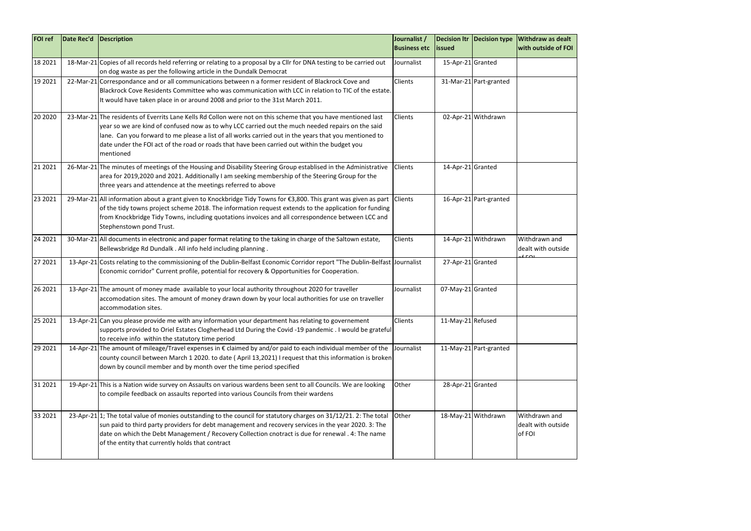| <b>FOI ref</b> | Date Rec'd | Description                                                                                                                                                                                                                                                                                                                                                                                                                              | Journalist /<br><b>Business etc</b> | <b>lissued</b>    | <b>Decision Itr Decision type</b> | <b>Withdraw as dealt</b><br>with outside of FO |
|----------------|------------|------------------------------------------------------------------------------------------------------------------------------------------------------------------------------------------------------------------------------------------------------------------------------------------------------------------------------------------------------------------------------------------------------------------------------------------|-------------------------------------|-------------------|-----------------------------------|------------------------------------------------|
| 18 20 21       |            | 18-Mar-21 Copies of all records held referring or relating to a proposal by a Cllr for DNA testing to be carried out<br>on dog waste as per the following article in the Dundalk Democrat                                                                                                                                                                                                                                                | Journalist                          | 15-Apr-21 Granted |                                   |                                                |
| 19 20 21       |            | 22-Mar-21 Correspondance and or all communications between n a former resident of Blackrock Cove and<br>Blackrock Cove Residents Committee who was communication with LCC in relation to TIC of the estate.<br>It would have taken place in or around 2008 and prior to the 31st March 2011.                                                                                                                                             | Clients                             |                   | 31-Mar-21 Part-granted            |                                                |
| 20 20 20       |            | 23-Mar-21 The residents of Everrits Lane Kells Rd Collon were not on this scheme that you have mentioned last<br>year so we are kind of confused now as to why LCC carried out the much needed repairs on the said<br>lane. Can you forward to me please a list of all works carried out in the years that you mentioned to<br>date under the FOI act of the road or roads that have been carried out within the budget you<br>mentioned | Clients                             |                   | 02-Apr-21 Withdrawn               |                                                |
| 21 2021        |            | 26-Mar-21 The minutes of meetings of the Housing and Disability Steering Group establised in the Administrative<br>area for 2019,2020 and 2021. Additionally I am seeking membership of the Steering Group for the<br>three years and attendence at the meetings referred to above                                                                                                                                                       | Clients                             | 14-Apr-21 Granted |                                   |                                                |
| 23 2021        |            | 29-Mar-21 All information about a grant given to Knockbridge Tidy Towns for €3,800. This grant was given as part<br>of the tidy towns project scheme 2018. The information request extends to the application for funding<br>from Knockbridge Tidy Towns, including quotations invoices and all correspondence between LCC and<br>Stephenstown pond Trust.                                                                               | <b>Clients</b>                      |                   | 16-Apr-21 Part-granted            |                                                |
| 24 2021        |            | 30-Mar-21 All documents in electronic and paper format relating to the taking in charge of the Saltown estate,<br>Bellewsbridge Rd Dundalk . All info held including planning.                                                                                                                                                                                                                                                           | Clients                             |                   | 14-Apr-21 Withdrawn               | Withdrawn and<br>dealt with outside<br>$5 - 2$ |
| 27 2021        |            | 13-Apr-21 Costs relating to the commissioning of the Dublin-Belfast Economic Corridor report "The Dublin-Belfast Journalist<br>Economic corridor" Current profile, potential for recovery & Opportunities for Cooperation.                                                                                                                                                                                                               |                                     | 27-Apr-21 Granted |                                   |                                                |
| 26 2021        |            | 13-Apr-21 The amount of money made available to your local authority throughout 2020 for traveller<br>accomodation sites. The amount of money drawn down by your local authorities for use on traveller<br>accommodation sites.                                                                                                                                                                                                          | Journalist                          | 07-May-21 Granted |                                   |                                                |
| 25 2021        |            | 13-Apr-21 Can you please provide me with any information your department has relating to governement<br>supports provided to Oriel Estates Clogherhead Ltd During the Covid -19 pandemic . I would be grateful<br>to receive info within the statutory time period                                                                                                                                                                       | Clients                             | 11-May-21 Refused |                                   |                                                |
| 29 20 21       |            | 14-Apr-21 The amount of mileage/Travel expenses in € claimed by and/or paid to each individual member of the<br>county council between March 1 2020. to date (April 13,2021) I request that this information is broken<br>down by council member and by month over the time period specified                                                                                                                                             | Journalist                          |                   | 11-May-21 Part-granted            |                                                |
| 31 2021        |            | 19-Apr-21 This is a Nation wide survey on Assaults on various wardens been sent to all Councils. We are looking<br>to compile feedback on assaults reported into various Councils from their wardens                                                                                                                                                                                                                                     | Other                               | 28-Apr-21 Granted |                                   |                                                |
| 33 2021        |            | 23-Apr-21 1; The total value of monies outstanding to the council for statutory charges on 31/12/21. 2: The total<br>sun paid to third party providers for debt management and recovery services in the year 2020. 3: The<br>date on which the Debt Management / Recovery Collection cnotract is due for renewal . 4: The name<br>of the entity that currently holds that contract                                                       | Other                               |                   | 18-May-21 Withdrawn               | Withdrawn and<br>dealt with outside<br>of FOI  |

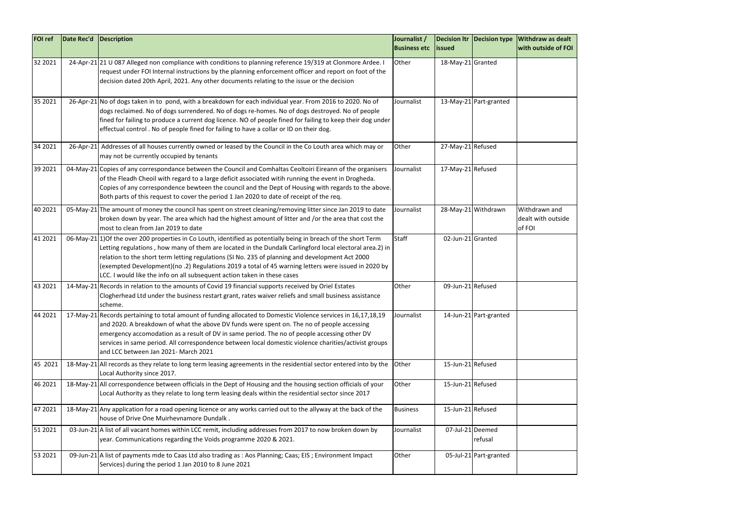

| <b>FOI</b> ref | Date Rec'd | Description                                                                                                                                                                                                                                                                                                                                                                                                                                                                                                       | Journalist /<br><b>Business etc</b> | <b>lissued</b>    |                             | Decision Itr   Decision type   Withdraw as dealt<br>with outside of FO |
|----------------|------------|-------------------------------------------------------------------------------------------------------------------------------------------------------------------------------------------------------------------------------------------------------------------------------------------------------------------------------------------------------------------------------------------------------------------------------------------------------------------------------------------------------------------|-------------------------------------|-------------------|-----------------------------|------------------------------------------------------------------------|
| 32 2021        |            | 24-Apr-21 21 U 087 Alleged non compliance with conditions to planning reference 19/319 at Clonmore Ardee. I<br>request under FOI Internal instructions by the planning enforcement officer and report on foot of the<br>decision dated 20th April, 2021. Any other documents relating to the issue or the decision                                                                                                                                                                                                | Other                               | 18-May-21 Granted |                             |                                                                        |
| 35 2021        |            | 26-Apr-21 No of dogs taken in to pond, with a breakdown for each individual year. From 2016 to 2020. No of<br>dogs reclaimed. No of dogs surrendered. No of dogs re-homes. No of dogs destroyed. No of people<br>fined for failing to produce a current dog licence. NO of people fined for failing to keep their dog under<br>effectual control. No of people fined for failing to have a collar or ID on their dog.                                                                                             | Journalist                          |                   | 13-May-21 Part-granted      |                                                                        |
| 34 2021        |            | 26-Apr-21 Addresses of all houses currently owned or leased by the Council in the Co Louth area which may or<br>may not be currently occupied by tenants                                                                                                                                                                                                                                                                                                                                                          | Other                               | 27-May-21 Refused |                             |                                                                        |
| 39 2021        |            | 04-May-21 Copies of any correspondance between the Council and Comhaltas Ceoltoiri Eireann of the organisers<br>of the Fleadh Cheoil with regard to a large deficit associated witih running the event in Drogheda.<br>Copies of any correspondence bewteen the council and the Dept of Housing with regards to the above.<br>Both parts of this request to cover the period 1 Jan 2020 to date of receipt of the req.                                                                                            | Journalist                          | 17-May-21 Refused |                             |                                                                        |
| 40 2021        |            | 05-May-21 The amount of money the council has spent on street cleaning/removing litter since Jan 2019 to date<br>broken down by year. The area which had the highest amount of litter and /or the area that cost the<br>most to clean from Jan 2019 to date                                                                                                                                                                                                                                                       | Journalist                          |                   | 28-May-21 Withdrawn         | Withdrawn and<br>dealt with outside<br>of FOI                          |
| 41 2021        |            | 06-May-21 1) Of the over 200 properties in Co Louth, identified as potentially being in breach of the short Term<br>Letting regulations, how many of them are located in the Dundalk Carlingford local electoral area.2) in<br>relation to the short term letting regulations (SI No. 235 of planning and development Act 2000<br>(exempted Development)(no .2) Regulations 2019 a total of 45 warning letters were issued in 2020 by<br>LCC. I would like the info on all subsequent action taken in these cases | <b>Staff</b>                        | 02-Jun-21 Granted |                             |                                                                        |
| 43 2021        |            | 14-May-21 Records in relation to the amounts of Covid 19 financial supports received by Oriel Estates<br>Clogherhead Ltd under the business restart grant, rates waiver reliefs and small business assistance<br>scheme.                                                                                                                                                                                                                                                                                          | Other                               | 09-Jun-21 Refused |                             |                                                                        |
| 44 2021        |            | 17-May-21 Records pertaining to total amount of funding allocated to Domestic Violence services in 16,17,18,19<br>and 2020. A breakdown of what the above DV funds were spent on. The no of people accessing<br>emergency accomodation as a result of DV in same period. The no of people accessing other DV<br>services in same period. All correspondence between local domestic violence charities/activist groups<br>and LCC between Jan 2021- March 2021                                                     | Journalist                          |                   | 14-Jun-21 Part-granted      |                                                                        |
| 45 2021        |            | 18-May-21 All records as they relate to long term leasing agreements in the residential sector entered into by the<br>Local Authority since 2017.                                                                                                                                                                                                                                                                                                                                                                 | Other                               | 15-Jun-21 Refused |                             |                                                                        |
| 46 2021        |            | 18-May-21 All correspondence between officials in the Dept of Housing and the housing section officials of your<br>Local Authority as they relate to long term leasing deals within the residential sector since 2017                                                                                                                                                                                                                                                                                             | Other                               | 15-Jun-21 Refused |                             |                                                                        |
| 47 2021        |            | 18-May-21 Any application for a road opening licence or any works carried out to the allyway at the back of the<br>house of Drive One Muirhevnamore Dundalk.                                                                                                                                                                                                                                                                                                                                                      | <b>Business</b>                     | 15-Jun-21 Refused |                             |                                                                        |
| 51 2021        |            | 03-Jun-21 A list of all vacant homes within LCC remit, including addresses from 2017 to now broken down by<br>year. Communications regarding the Voids programme 2020 & 2021.                                                                                                                                                                                                                                                                                                                                     | Journalist                          |                   | 07-Jul-21 Deemed<br>refusal |                                                                        |
| 53 2021        |            | 09-Jun-21 A list of payments mde to Caas Ltd also trading as : Aos Planning; Caas; EIS ; Environment Impact<br>Services) during the period 1 Jan 2010 to 8 June 2021                                                                                                                                                                                                                                                                                                                                              | Other                               |                   | 05-Jul-21 Part-granted      |                                                                        |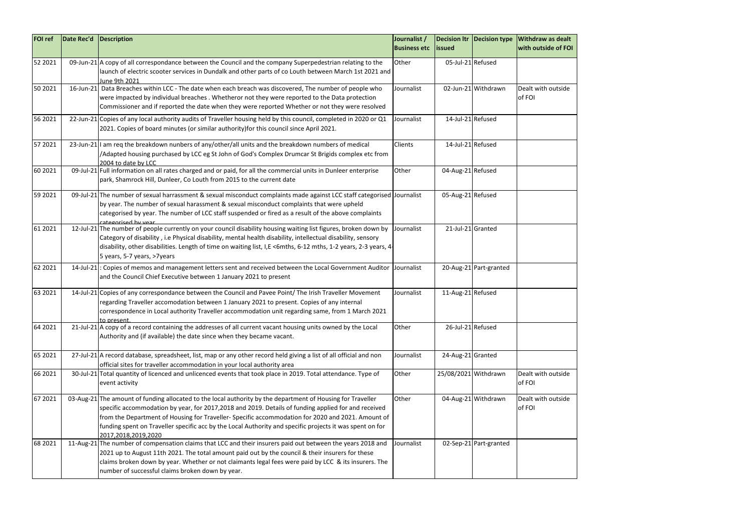

| <b>FOI ref</b> | Date Rec'd | Description                                                                                                                                                                                                                                                                                                                                                                                                                                               | Journalist /<br><b>Business etc</b> | <b>lissued</b>    |                        | Decision Itr   Decision type   Withdraw as dealt<br>with outside of FO |
|----------------|------------|-----------------------------------------------------------------------------------------------------------------------------------------------------------------------------------------------------------------------------------------------------------------------------------------------------------------------------------------------------------------------------------------------------------------------------------------------------------|-------------------------------------|-------------------|------------------------|------------------------------------------------------------------------|
| 52 2021        |            | 09-Jun-21 A copy of all correspondance between the Council and the company Superpedestrian relating to the<br>launch of electric scooter services in Dundalk and other parts of co Louth between March 1st 2021 and<br>June 9th 2021                                                                                                                                                                                                                      | Other                               | 05-Jul-21 Refused |                        |                                                                        |
| 50 2021        |            | 16-Jun-21 Data Breaches within LCC - The date when each breach was discovered, The number of people who<br>were impacted by individual breaches . Whetheror not they were reported to the Data protection<br>Commissioner and if reported the date when they were reported Whether or not they were resolved                                                                                                                                              | Journalist                          |                   | 02-Jun-21 Withdrawn    | Dealt with outside<br>of FOI                                           |
| 56 2021        |            | 22-Jun-21 Copies of any local authority audits of Traveller housing held by this council, completed in 2020 or Q1<br>2021. Copies of board minutes (or similar authority) for this council since April 2021.                                                                                                                                                                                                                                              | Journalist                          | 14-Jul-21 Refused |                        |                                                                        |
| 57 2021        |            | 23-Jun-21 I am req the breakdown nunbers of any/other/all units and the breakdown numbers of medical<br>/Adapted housing purchased by LCC eg St John of God's Complex Drumcar St Brigids complex etc from<br>2004 to date by LCC                                                                                                                                                                                                                          | Clients                             | 14-Jul-21 Refused |                        |                                                                        |
| 60 20 21       |            | 09-Jul-21 Full information on all rates charged and or paid, for all the commercial units in Dunleer enterprise<br>park, Shamrock Hill, Dunleer, Co Louth from 2015 to the current date                                                                                                                                                                                                                                                                   | Other                               | 04-Aug-21 Refused |                        |                                                                        |
| 59 2021        |            | 09-Jul-21 The number of sexual harrassment & sexual misconduct complaints made against LCC staff categorised Journalist<br>by year. The number of sexual harassment & sexual misconduct complaints that were upheld<br>categorised by year. The number of LCC staff suspended or fired as a result of the above complaints<br>categorised by year                                                                                                         |                                     | 05-Aug-21 Refused |                        |                                                                        |
| 61 2021        |            | 12-Jul-21 The number of people currently on your council disability housing waiting list figures, broken down by<br>Category of disability, i.e Physical disability, mental health disability, intellectual disability, sensory<br>disability, other disabilities. Length of time on waiting list, I,E <6mths, 6-12 mths, 1-2 years, 2-3 years, 4-<br>5 years, 5-7 years, >7years                                                                         | Journalist                          | 21-Jul-21 Granted |                        |                                                                        |
| 62 2021        |            | 14-Jul-21: Copies of memos and management letters sent and received between the Local Government Auditor Journalist<br>and the Council Chief Executive between 1 January 2021 to present                                                                                                                                                                                                                                                                  |                                     |                   | 20-Aug-21 Part-granted |                                                                        |
| 63 2021        |            | 14-Jul-21 Copies of any correspondance between the Council and Pavee Point/ The Irish Traveller Movement<br>regarding Traveller accomodation between 1 January 2021 to present. Copies of any internal<br>correspondence in Local authority Traveller accommodation unit regarding same, from 1 March 2021<br>to present.                                                                                                                                 | Journalist                          | 11-Aug-21 Refused |                        |                                                                        |
| 64 2021        |            | 21-Jul-21 A copy of a record containing the addresses of all current vacant housing units owned by the Local<br>Authority and (if available) the date since when they became vacant.                                                                                                                                                                                                                                                                      | Other                               |                   | 26-Jul-21 Refused      |                                                                        |
| 65 2021        |            | 27-Jul-21 A record database, spreadsheet, list, map or any other record held giving a list of all official and non<br>official sites for traveller accommodation in your local authority area                                                                                                                                                                                                                                                             | Journalist                          | 24-Aug-21 Granted |                        |                                                                        |
| 66 2021        |            | 30-Jul-21 Total quantity of licenced and unlicenced events that took place in 2019. Total attendance. Type of<br>event activity                                                                                                                                                                                                                                                                                                                           | Other                               |                   | 25/08/2021 Withdrawn   | Dealt with outside<br>of FOI                                           |
| 67 2021        |            | 03-Aug-21 The amount of funding allocated to the local authority by the department of Housing for Traveller<br>specific accommodation by year, for 2017,2018 and 2019. Details of funding applied for and received<br>from the Department of Housing for Traveller-Specific accommodation for 2020 and 2021. Amount of<br>funding spent on Traveller specific acc by the Local Authority and specific projects it was spent on for<br>2017,2018,2019,2020 | Other                               |                   | 04-Aug-21 Withdrawn    | Dealt with outside<br>of FOI                                           |
| 68 2021        |            | 11-Aug-21 The number of compensation claims that LCC and their insurers paid out between the years 2018 and<br>2021 up to August 11th 2021. The total amount paid out by the council & their insurers for these<br>claims broken down by year. Whether or not claimants legal fees were paid by LCC & its insurers. The<br>number of successful claims broken down by year.                                                                               | Journalist                          |                   | 02-Sep-21 Part-granted |                                                                        |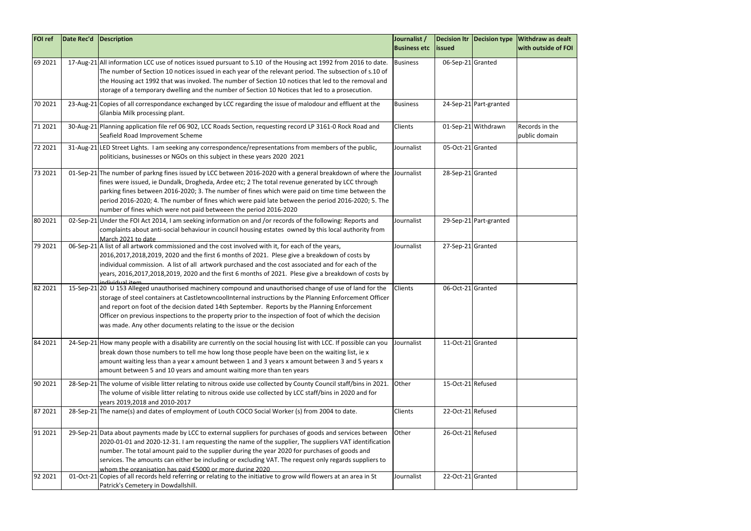

| <b>FOI ref</b> | Date Rec'd | Description                                                                                                                                                                                                                                                                                                                                                                                                                                                                                              | Journalist /<br><b>Business etc</b> | <b>lissued</b>    |                        | Decision Itr   Decision type   Withdraw as dealt<br>with outside of FO |
|----------------|------------|----------------------------------------------------------------------------------------------------------------------------------------------------------------------------------------------------------------------------------------------------------------------------------------------------------------------------------------------------------------------------------------------------------------------------------------------------------------------------------------------------------|-------------------------------------|-------------------|------------------------|------------------------------------------------------------------------|
| 69 2021        |            | 17-Aug-21 All information LCC use of notices issued pursuant to S.10 of the Housing act 1992 from 2016 to date.<br>The number of Section 10 notices issued in each year of the relevant period. The subsection of s.10 of<br>the Housing act 1992 that was invoked. The number of Section 10 notices that led to the removal and<br>storage of a temporary dwelling and the number of Section 10 Notices that led to a prosecution.                                                                      | <b>Business</b>                     | 06-Sep-21 Granted |                        |                                                                        |
| 70 2021        |            | 23-Aug-21 Copies of all correspondance exchanged by LCC regarding the issue of malodour and effluent at the<br>Glanbia Milk processing plant.                                                                                                                                                                                                                                                                                                                                                            | <b>Business</b>                     |                   | 24-Sep-21 Part-granted |                                                                        |
| 71 2021        |            | 30-Aug-21 Planning application file ref 06 902, LCC Roads Section, requesting record LP 3161-0 Rock Road and<br>Seafield Road Improvement Scheme                                                                                                                                                                                                                                                                                                                                                         | Clients                             |                   | 01-Sep-21 Withdrawn    | Records in the<br>public domain                                        |
| 72 2021        |            | 31-Aug-21 LED Street Lights. I am seeking any correspondence/representations from members of the public,<br>politicians, businesses or NGOs on this subject in these years 2020 2021                                                                                                                                                                                                                                                                                                                     | Journalist                          | 05-Oct-21 Granted |                        |                                                                        |
| 73 2021        |            | 01-Sep-21 The number of parkng fines issued by LCC between 2016-2020 with a general breakdown of where the Journalist<br>fines were issued, ie Dundalk, Drogheda, Ardee etc; 2 The total revenue generated by LCC through<br>parking fines between 2016-2020; 3. The number of fines which were paid on time time between the<br>period 2016-2020; 4. The number of fines which were paid late between the period 2016-2020; 5. The<br>number of fines which were not paid betweeen the period 2016-2020 |                                     | 28-Sep-21 Granted |                        |                                                                        |
| 80 20 21       |            | 02-Sep-21 Under the FOI Act 2014, I am seeking information on and /or records of the following: Reports and<br>complaints about anti-social behaviour in council housing estates owned by this local authority from<br>March 2021 to date                                                                                                                                                                                                                                                                | Journalist                          |                   | 29-Sep-21 Part-granted |                                                                        |
| 79 2021        |            | 06-Sep-21 A list of all artwork commissioned and the cost involved with it, for each of the years,<br>2016,2017,2018,2019, 2020 and the first 6 months of 2021. Plese give a breakdown of costs by<br>individual commission. A list of all artwork purchased and the cost associated and for each of the<br>years, 2016,2017,2018,2019, 2020 and the first 6 months of 2021. Plese give a breakdown of costs by<br>individual itam                                                                       | Journalist                          | 27-Sep-21 Granted |                        |                                                                        |
| 82 2021        |            | 15-Sep-21 20 U 153 Alleged unauthorised machinery compound and unauthorised change of use of land for the<br>storage of steel containers at CastletowncoolInternal instructions by the Planning Enforcement Officer<br>and report on foot of the decision dated 14th September. Reports by the Planning Enforcement<br>Officer on previous inspections to the property prior to the inspection of foot of which the decision<br>was made. Any other documents relating to the issue or the decision      | Clients                             | 06-Oct-21 Granted |                        |                                                                        |
| 84 2021        |            | 24-Sep-21 How many people with a disability are currently on the social housing list with LCC. If possible can you<br>break down those numbers to tell me how long those people have been on the waiting list, ie x<br>amount waiting less than a year x amount between 1 and 3 years x amount between 3 and 5 years x<br>amount between 5 and 10 years and amount waiting more than ten years                                                                                                           | Journalist                          | 11-Oct-21 Granted |                        |                                                                        |
| 90 20 21       |            | 28-Sep-21 The volume of visible litter relating to nitrous oxide use collected by County Council staff/bins in 2021.<br>The volume of visible litter relating to nitrous oxide use collected by LCC staff/bins in 2020 and for<br>years 2019,2018 and 2010-2017                                                                                                                                                                                                                                          | Other                               | 15-Oct-21 Refused |                        |                                                                        |
| 87 2021        |            | 28-Sep-21 The name(s) and dates of employment of Louth COCO Social Worker (s) from 2004 to date.                                                                                                                                                                                                                                                                                                                                                                                                         | Clients                             | 22-Oct-21 Refused |                        |                                                                        |
| 91 2021        |            | 29-Sep-21 Data about payments made by LCC to external suppliers for purchases of goods and services between<br>2020-01-01 and 2020-12-31. I am requesting the name of the supplier, The suppliers VAT identification<br>number. The total amount paid to the supplier during the year 2020 for purchases of goods and<br>services. The amounts can either be including or excluding VAT. The request only regards suppliers to<br>whom the organisation has paid €5000 or more during 2020               | Other                               | 26-Oct-21 Refused |                        |                                                                        |
| 92 2021        |            | 01-Oct-21 Copies of all records held referring or relating to the initiative to grow wild flowers at an area in St<br>Patrick's Cemetery in Dowdallshill.                                                                                                                                                                                                                                                                                                                                                | Journalist                          | 22-Oct-21 Granted |                        |                                                                        |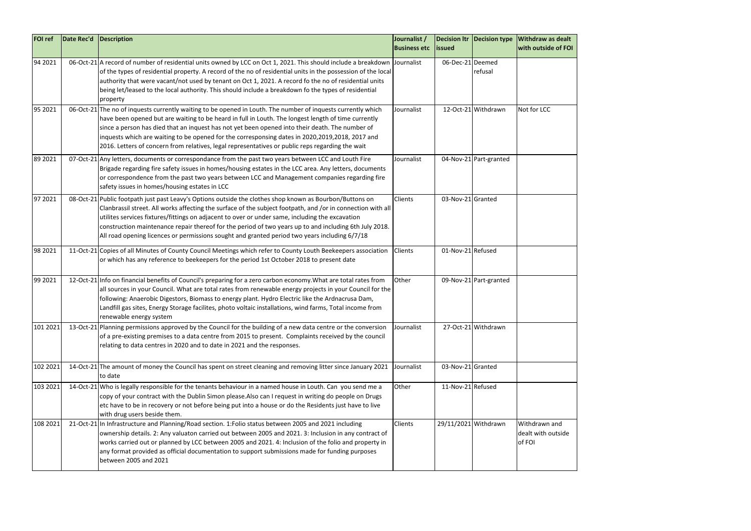| <b>FOI ref</b> | Date Rec'd | Description                                                                                                                                                                                                                                                                                                                                                                                                                                                                                                                           | Journalist /<br><b>Business etc</b> | <b>lissued</b>    |                        | Decision Itr   Decision type   Withdraw as dealt<br>with outside of FO |
|----------------|------------|---------------------------------------------------------------------------------------------------------------------------------------------------------------------------------------------------------------------------------------------------------------------------------------------------------------------------------------------------------------------------------------------------------------------------------------------------------------------------------------------------------------------------------------|-------------------------------------|-------------------|------------------------|------------------------------------------------------------------------|
| 94 2021        |            | 06-Oct-21 A record of number of residential units owned by LCC on Oct 1, 2021. This should include a breakdown Journalist<br>of the types of residential property. A record of the no of residential units in the possession of the local<br>authority that were vacant/not used by tenant on Oct 1, 2021. A record fo the no of residential units<br>being let/leased to the local authority. This should include a breakdown fo the types of residential<br>property                                                                |                                     | 06-Dec-21 Deemed  | refusal                |                                                                        |
| 95 2021        |            | 06-Oct-21 The no of inquests currently waiting to be opened in Louth. The number of inquests currently which<br>have been opened but are waiting to be heard in full in Louth. The longest length of time currently<br>since a person has died that an inquest has not yet been opened into their death. The number of<br>inquests which are waiting to be opened for the corresponsing dates in 2020,2019,2018, 2017 and<br>2016. Letters of concern from relatives, legal representatives or public reps regarding the wait         | Journalist                          |                   | 12-Oct-21 Withdrawn    | Not for LCC                                                            |
| 89 2021        |            | 07-Oct-21 Any letters, documents or correspondance from the past two years between LCC and Louth Fire<br>Brigade regarding fire safety issues in homes/housing estates in the LCC area. Any letters, documents<br>or correspondence from the past two years between LCC and Management companies regarding fire<br>safety issues in homes/housing estates in LCC                                                                                                                                                                      | Journalist                          |                   | 04-Nov-21 Part-granted |                                                                        |
| 97 2021        |            | 08-Oct-21 Public footpath just past Leavy's Options outside the clothes shop known as Bourbon/Buttons on<br>Clanbrassil street. All works affecting the surface of the subject footpath, and /or in connection with all<br>utilites services fixtures/fittings on adjacent to over or under same, including the excavation<br>construction maintenance repair thereof for the period of two years up to and including 6th July 2018.<br>All road opening licences or permissions sought and granted period two years including 6/7/18 | Clients                             | 03-Nov-21 Granted |                        |                                                                        |
| 98 2021        |            | 11-Oct-21 Copies of all Minutes of County Council Meetings which refer to County Louth Beekeepers association<br>or which has any reference to beekeepers for the period 1st October 2018 to present date                                                                                                                                                                                                                                                                                                                             | Clients                             | 01-Nov-21 Refused |                        |                                                                        |
| 99 2021        |            | 12-Oct-21 Info on financial benefits of Council's preparing for a zero carbon economy. What are total rates from<br>all sources in your Council. What are total rates from renewable energy projects in your Council for the<br>following: Anaerobic Digestors, Biomass to energy plant. Hydro Electric like the Ardnacrusa Dam,<br>Landfill gas sites, Energy Storage facilites, photo voltaic installations, wind farms, Total income from<br>renewable energy system                                                               | Other                               |                   | 09-Nov-21 Part-granted |                                                                        |
| 101 2021       |            | 13-Oct-21 Planning permissions approved by the Council for the building of a new data centre or the conversion<br>of a pre-existing premises to a data centre from 2015 to present. Complaints received by the council<br>relating to data centres in 2020 and to date in 2021 and the responses.                                                                                                                                                                                                                                     | Journalist                          |                   | 27-Oct-21 Withdrawn    |                                                                        |
| 102 2021       |            | 14-Oct-21 The amount of money the Council has spent on street cleaning and removing litter since January 2021<br>to date                                                                                                                                                                                                                                                                                                                                                                                                              | Journalist                          | 03-Nov-21 Granted |                        |                                                                        |
| 103 2021       |            | 14-Oct-21 Who is legally responsible for the tenants behaviour in a named house in Louth. Can you send me a<br>copy of your contract with the Dublin Simon please. Also can I request in writing do people on Drugs<br>etc have to be in recovery or not before being put into a house or do the Residents just have to live<br>with drug users beside them.                                                                                                                                                                          | Other                               | 11-Nov-21 Refused |                        |                                                                        |
| 108 2021       |            | 21-Oct-21 In Infrastructure and Planning/Road section. 1: Folio status between 2005 and 2021 including<br>ownership details. 2: Any valuaton carried out between 2005 and 2021. 3: Inclusion in any contract of<br>works carried out or planned by LCC between 2005 and 2021. 4: Inclusion of the folio and property in<br>any format provided as official documentation to support submissions made for funding purposes<br>between 2005 and 2021                                                                                    | Clients                             |                   | 29/11/2021 Withdrawn   | Withdrawn and<br>dealt with outside<br>of FOI                          |